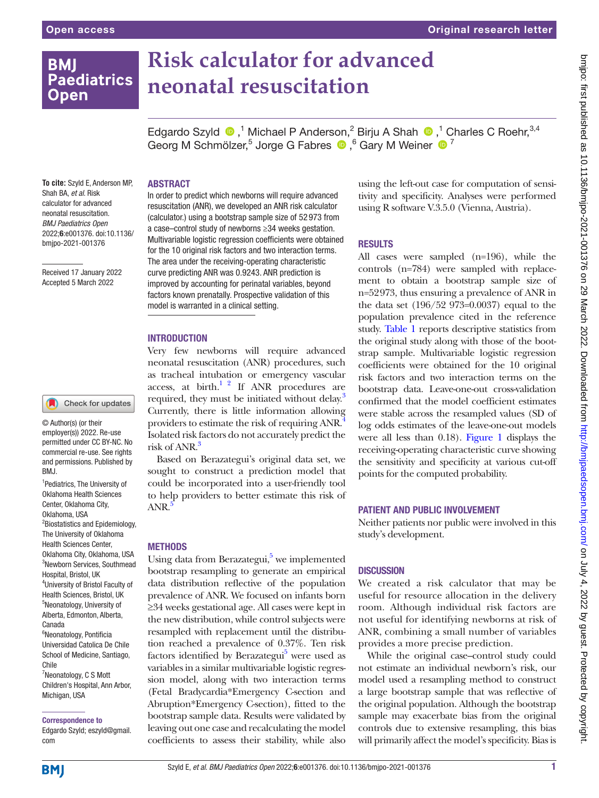# **BMI Paediatrics Open**

# **Risk calculator for advanced neonatal resuscitation**

EdgardoSzyld  $\bigcirc$ ,<sup>1</sup> Michael P Anderson,<sup>2</sup> Birju A Shah  $\bigcirc$ ,<sup>1</sup> Charles C Roehr,<sup>3,4</sup> Georg M Schmölzer,<sup>5</sup> Jorge G Fabres <sup>1</sup>, <sup>6</sup> Gary M Weiner <sup>1</sup>

**To cite:** Szyld E, Anderson MP, Shah BA, *et al*. Risk calculator for advanced neonatal resuscitation. *BMJ Paediatrics Open* 2022;6:e001376. doi:10.1136/ bmjpo-2021-001376

Received 17 January 2022 Accepted 5 March 2022



© Author(s) (or their employer(s)) 2022. Re-use permitted under CC BY-NC. No commercial re-use. See rights and permissions. Published by BMJ.

1 Pediatrics, The University of Oklahoma Health Sciences Center, Oklahoma City, Oklahoma, USA <sup>2</sup> Biostatistics and Epidemiology, The University of Oklahoma Health Sciences Center, Oklahoma City, Oklahoma, USA 3 Newborn Services, Southmead Hospital, Bristol, UK 4 University of Bristol Faculty of Health Sciences, Bristol, UK 5 Neonatology, University of Alberta, Edmonton, Alberta, Canada <sup>6</sup>Neonatology, Pontificia Universidad Catolica De Chile School of Medicine, Santiago, Chile <sup>7</sup>Neonatology, C S Mott Children's Hospital, Ann Arbor, Michigan, USA

Correspondence to

Edgardo Szyld; eszyld@gmail. com

# ABSTRACT

In order to predict which newborns will require advanced resuscitation (ANR), we developed an ANR risk calculator [\(calculator](https://medicine.ouhsc.edu/Academic-Departments/Pediatrics/Sections/Neonatal-Perinatal-Medicine/Research/Risk-Calculator).) using a bootstrap sample size of 52 973 from a case–control study of newborns ≥34 weeks gestation. Multivariable logistic regression coefficients were obtained for the 10 original risk factors and two interaction terms. The area under the receiving-operating characteristic curve predicting ANR was 0.9243. ANR prediction is improved by accounting for perinatal variables, beyond factors known prenatally. Prospective validation of this model is warranted in a clinical setting.

## **INTRODUCTION**

Very few newborns will require advanced neonatal resuscitation (ANR) procedures, such as tracheal intubation or emergency vascular access, at birth. $1^2$  If ANR procedures are required, they must be initiated without delay.<sup>3</sup> Currently, there is little information allowing providers to estimate the risk of requiring ANR.<sup>4</sup> Isolated risk factors do not accurately predict the risk of ANR.<sup>[3](#page-2-1)</sup>

Based on Berazategui's original data set, we sought to construct a prediction model that could be incorporated into a user-friendly tool to help providers to better estimate this risk of ANR.

#### **METHODS**

Using data from Berazategui,<sup>5</sup> we implemented bootstrap resampling to generate an empirical data distribution reflective of the population prevalence of ANR. We focused on infants born ≥34 weeks gestational age. All cases were kept in the new distribution, while control subjects were resampled with replacement until the distribution reached a prevalence of 0.37%. Ten risk factors identified by Berazategui<sup>[5](#page-2-3)</sup> were used as variables in a similar multivariable logistic regression model, along with two interaction terms (Fetal Bradycardia\*Emergency C-section and Abruption\*Emergency C-section), fitted to the bootstrap sample data. Results were validated by leaving out one case and recalculating the model coefficients to assess their stability, while also

using the left-out case for computation of sensitivity and specificity. Analyses were performed using R software V.3.5.0 (Vienna, Austria).

#### RESULTS

All cases were sampled (n=196), while the controls (n=784) were sampled with replacement to obtain a bootstrap sample size of n=52973, thus ensuring a prevalence of ANR in the data set (196/52 973=0.0037) equal to the population prevalence cited in the reference study. [Table](#page-1-0) 1 reports descriptive statistics from the original study along with those of the bootstrap sample. Multivariable logistic regression coefficients were obtained for the 10 original risk factors and two interaction terms on the bootstrap data. Leave-one-out cross-validation confirmed that the model coefficient estimates were stable across the resampled values (SD of log odds estimates of the leave-one-out models were all less than 0.18). [Figure](#page-1-1) 1 displays the receiving-operating characteristic curve showing the sensitivity and specificity at various cut-off points for the computed probability.

#### PATIENT AND PUBLIC INVOLVEMENT

Neither patients nor public were involved in this study's development.

# **DISCUSSION**

We created a risk calculator that may be useful for resource allocation in the delivery room. Although individual risk factors are not useful for identifying newborns at risk of ANR, combining a small number of variables provides a more precise prediction.

While the original case–control study could not estimate an individual newborn's risk, our model used a resampling method to construct a large bootstrap sample that was reflective of the original population. Although the bootstrap sample may exacerbate bias from the original controls due to extensive resampling, this bias will primarily affect the model's specificity. Bias is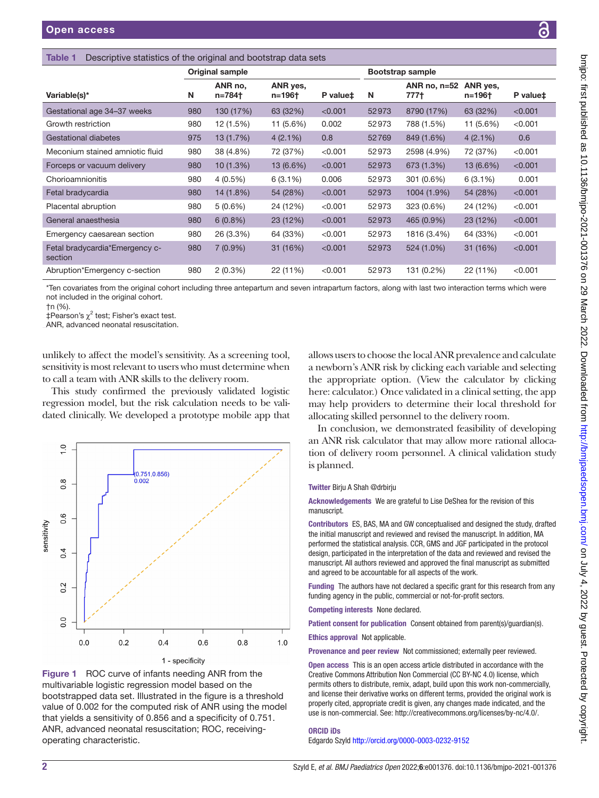<span id="page-1-0"></span>Table 1 Descriptive

| ive statistics of the original and bootstrap data sets |  |
|--------------------------------------------------------|--|
|                                                        |  |

| <b>Bookiphy of allotion</b> of the original and bootonap data bolo                                                                                                                                                                                                                                            |                        |                   |                    |                      |                  |                        |                    |          |  |  |
|---------------------------------------------------------------------------------------------------------------------------------------------------------------------------------------------------------------------------------------------------------------------------------------------------------------|------------------------|-------------------|--------------------|----------------------|------------------|------------------------|--------------------|----------|--|--|
|                                                                                                                                                                                                                                                                                                               | <b>Original sample</b> |                   |                    |                      | Bootstrap sample |                        |                    |          |  |  |
| Variable(s)*                                                                                                                                                                                                                                                                                                  | N                      | ANR no.<br>n=784† | ANR yes,<br>n=196† | P value <sup>+</sup> | N                | ANR no. $n=52$<br>777† | ANR yes,<br>n=196† | P value‡ |  |  |
| Gestational age 34-37 weeks                                                                                                                                                                                                                                                                                   | 980                    | 130 (17%)         | 63 (32%)           | < 0.001              | 52973            | 8790 (17%)             | 63 (32%)           | < 0.001  |  |  |
| Growth restriction                                                                                                                                                                                                                                                                                            | 980                    | 12 (1.5%)         | 11 (5.6%)          | 0.002                | 52973            | 788 (1.5%)             | 11 (5.6%)          | < 0.001  |  |  |
| <b>Gestational diabetes</b>                                                                                                                                                                                                                                                                                   | 975                    | 13(1.7%)          | $4(2.1\%)$         | 0.8                  | 52769            | 849 (1.6%)             | $4(2.1\%)$         | 0.6      |  |  |
| Meconium stained amniotic fluid                                                                                                                                                                                                                                                                               | 980                    | 38 (4.8%)         | 72 (37%)           | < 0.001              | 52973            | 2598 (4.9%)            | 72 (37%)           | < 0.001  |  |  |
| Forceps or vacuum delivery                                                                                                                                                                                                                                                                                    | 980                    | 10(1.3%)          | 13 (6.6%)          | < 0.001              | 52973            | 673 (1.3%)             | 13 (6.6%)          | < 0.001  |  |  |
| Chorioamnionitis                                                                                                                                                                                                                                                                                              | 980                    | $4(0.5\%)$        | $6(3.1\%)$         | 0.006                | 52973            | 301 (0.6%)             | $6(3.1\%)$         | 0.001    |  |  |
| Fetal bradycardia                                                                                                                                                                                                                                                                                             | 980                    | 14 (1.8%)         | 54 (28%)           | < 0.001              | 52973            | 1004 (1.9%)            | 54 (28%)           | < 0.001  |  |  |
| Placental abruption                                                                                                                                                                                                                                                                                           | 980                    | $5(0.6\%)$        | 24 (12%)           | < 0.001              | 52973            | 323 (0.6%)             | 24 (12%)           | < 0.001  |  |  |
| General anaesthesia                                                                                                                                                                                                                                                                                           | 980                    | $6(0.8\%)$        | 23 (12%)           | < 0.001              | 52973            | 465 (0.9%)             | 23 (12%)           | < 0.001  |  |  |
| Emergency caesarean section                                                                                                                                                                                                                                                                                   | 980                    | 26 (3.3%)         | 64 (33%)           | < 0.001              | 52973            | 1816 (3.4%)            | 64 (33%)           | < 0.001  |  |  |
| Fetal bradycardia*Emergency c-<br>section                                                                                                                                                                                                                                                                     | 980                    | $7(0.9\%)$        | 31 (16%)           | < 0.001              | 52973            | 524 (1.0%)             | 31 (16%)           | < 0.001  |  |  |
| Abruption*Emergency c-section                                                                                                                                                                                                                                                                                 | 980                    | $2(0.3\%)$        | 22 (11%)           | < 0.001              | 52973            | 131 (0.2%)             | 22 (11%)           | < 0.001  |  |  |
| *Ten covariates from the original cohort including three antepartum and seven intrapartum factors, along with last two interaction terms which were<br>not included in the original cohort.<br>$+n$ (%).<br>$\ddagger$ Pearson's $\chi^2$ test; Fisher's exact test.<br>ANR, advanced neonatal resuscitation. |                        |                   |                    |                      |                  |                        |                    |          |  |  |

unlikely to affect the model's sensitivity. As a screening tool, sensitivity is most relevant to users who must determine when to call a team with ANR skills to the delivery room.

This study confirmed the previously validated logistic regression model, but the risk calculation needs to be validated clinically. We developed a prototype mobile app that



<span id="page-1-1"></span>Figure 1 ROC curve of infants needing ANR from the multivariable logistic regression model based on the bootstrapped data set. Illustrated in the figure is a threshold value of 0.002 for the computed risk of ANR using the model that yields a sensitivity of 0.856 and a specificity of 0.751. ANR, advanced neonatal resuscitation; ROC, receivingoperating characteristic.

allows users to choose the local ANR prevalence and calculate a newborn's ANR risk by clicking each variable and selecting the appropriate option. (View the calculator by clicking here: [calculator.](https://medicine.ouhsc.edu/Academic-Departments/Pediatrics/Sections/Neonatal-Perinatal-Medicine/Research/Risk-Calculator)) Once validated in a clinical setting, the app may help providers to determine their local threshold for allocating skilled personnel to the delivery room.

In conclusion, we demonstrated feasibility of developing an ANR risk calculator that may allow more rational allocation of delivery room personnel. A clinical validation study is planned.

#### Twitter Birju A Shah [@drbirju](https://twitter.com/drbirju)

Acknowledgements We are grateful to Lise DeShea for the revision of this manuscript.

Contributors ES, BAS, MA and GW conceptualised and designed the study, drafted the initial manuscript and reviewed and revised the manuscript. In addition, MA performed the statistical analysis. CCR, GMS and JGF participated in the protocol design, participated in the interpretation of the data and reviewed and revised the manuscript. All authors reviewed and approved the final manuscript as submitted and agreed to be accountable for all aspects of the work.

Funding The authors have not declared a specific grant for this research from any funding agency in the public, commercial or not-for-profit sectors.

Competing interests None declared.

Patient consent for publication Consent obtained from parent(s)/guardian(s).

Ethics approval Not applicable.

Provenance and peer review Not commissioned; externally peer reviewed.

Open access This is an open access article distributed in accordance with the Creative Commons Attribution Non Commercial (CC BY-NC 4.0) license, which permits others to distribute, remix, adapt, build upon this work non-commercially, and license their derivative works on different terms, provided the original work is properly cited, appropriate credit is given, any changes made indicated, and the use is non-commercial. See:<http://creativecommons.org/licenses/by-nc/4.0/>.

# ORCID iDs

Edgardo Szyld <http://orcid.org/0000-0003-0232-9152>